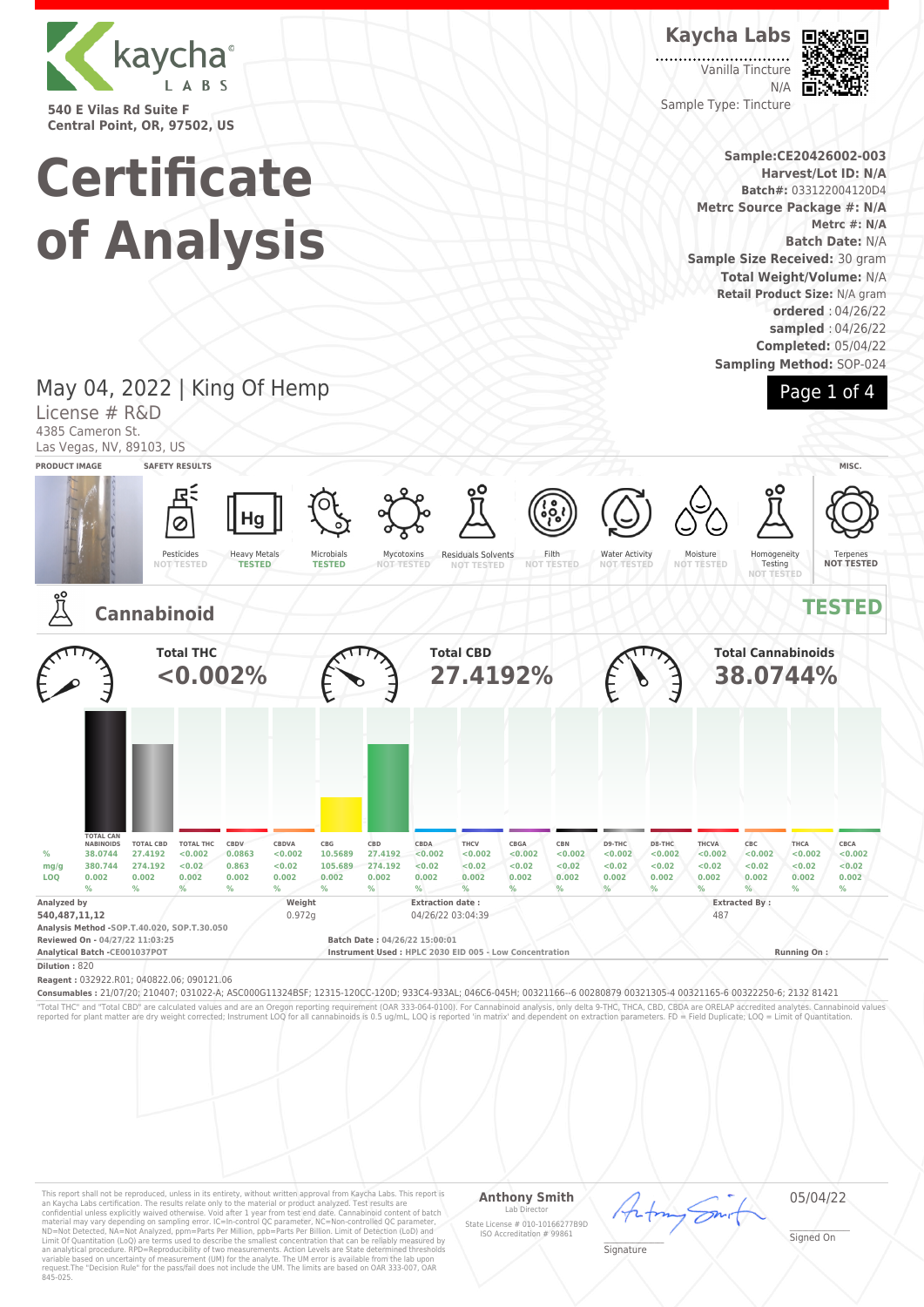

**540 E Vilas Rd Suite F Central Point, OR, 97502, US**

# **Certificate of Analysis**

## **Kaycha Labs**

Vanilla Tincture N/A Sample Type: Tincture



**Sample:CE20426002-003 Harvest/Lot ID: N/A Batch#:** 033122004120D4 **Metrc Source Package #: N/A Metrc #: N/A Batch Date:** N/A **Sample Size Received:** 30 gram **Total Weight/Volume:** N/A **Retail Product Size:** N/A gram **ordered** : 04/26/22 **sampled** : 04/26/22 **Completed:** 05/04/22 **Sampling Method:** SOP-024



## May 04, 2022 | King Of Hemp

License # R&D 4385 Cameron St.

Las Vegas, NV, 89103, US



"Total THC" and "Total CBD" are calculated values and are an Oregon reporting requirement (OAR 333-064-0100). For Cannabinoid analysis, only delta 9-THC, THCA, CBD, CBDA are ORELAP accredited analytes. Cannabinoid values<br>r

This report shall not be reproduced, unless in its entirety, without written approval from Kaycha Labs. This report is<br>an Kaycha Labs certification. The results relate only to the material or product analyzed. Test result

## **Anthony Smith** Lab Director State License # 010-10166277B9D ISO Accreditation # 99861

05/04/22

\_\_\_\_\_\_\_\_\_\_\_\_\_\_\_\_\_\_\_ Signature

\_\_\_\_\_\_\_\_\_\_\_\_\_\_\_\_\_\_\_ Signed On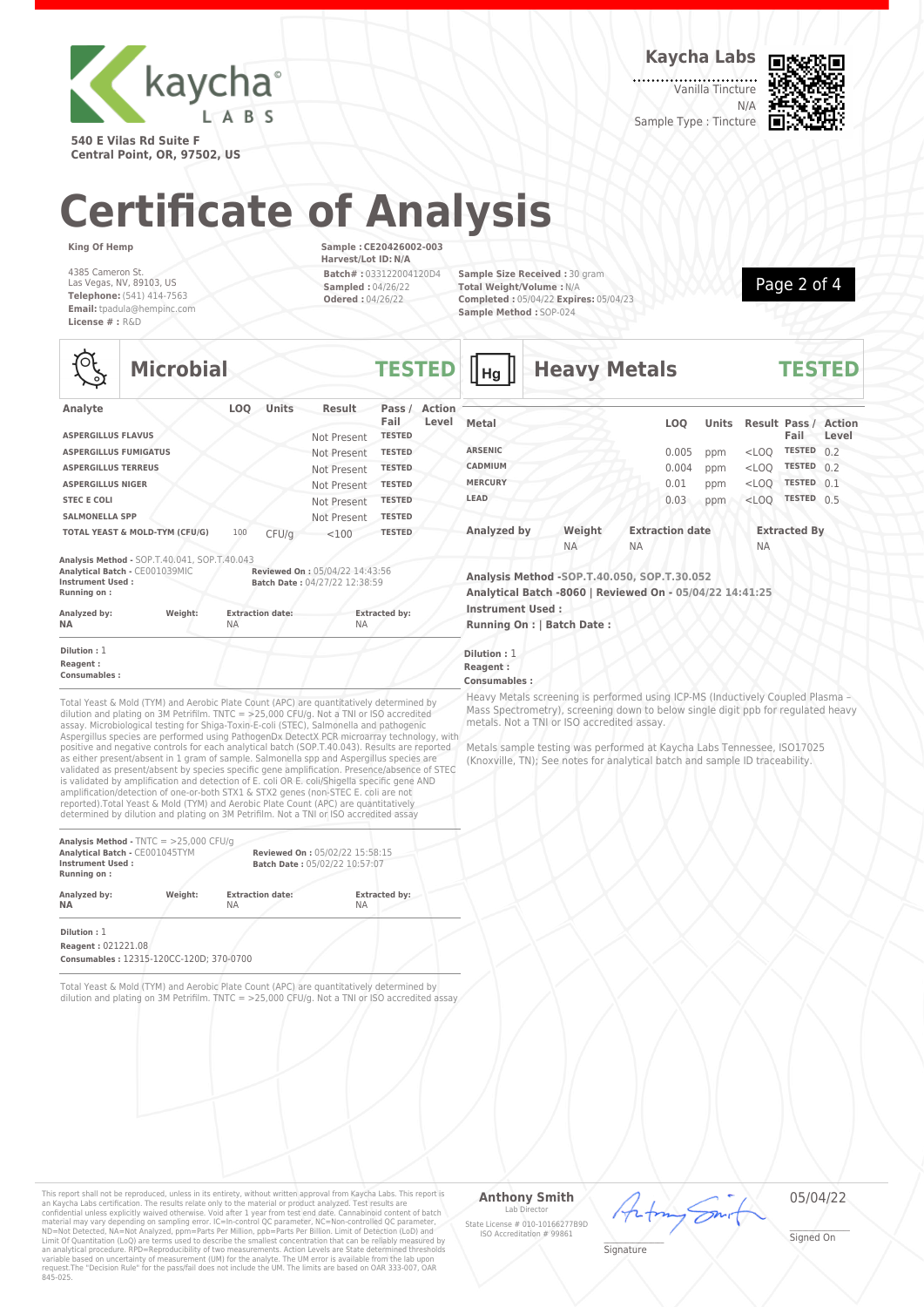

**540 E Vilas Rd Suite F Central Point, OR, 97502, US** **Kaycha Labs**

Vanilla Tincture N/A



Sample Type : Tincture

# **Certificate of Analysis**

**King Of Hemp**

 $\mathbf{r}$ 

4385 Cameron St. Las Vegas, NV, 89103, US **Telephone:** (541) 414-7563 **Email:** tpadula@hempinc.com **License # :** R&D

**Sample : CE20426002-003 Harvest/Lot ID: N/A Batch# :** 033122004120D4 **Sampled :** 04/26/22 **Odered :** 04/26/22

**Sample Size Received :** 30 gram **Total Weight/Volume :** N/A **Completed :** 05/04/22 **Expires:** 05/04/23 **Sample Method :** SOP-024



|                                         | <b>Microbial</b>                                                                                                                                                                                                                                                                                                                                                              |                                      |       |                                   | <b>TESTED</b>  |                        |
|-----------------------------------------|-------------------------------------------------------------------------------------------------------------------------------------------------------------------------------------------------------------------------------------------------------------------------------------------------------------------------------------------------------------------------------|--------------------------------------|-------|-----------------------------------|----------------|------------------------|
| Analyte                                 |                                                                                                                                                                                                                                                                                                                                                                               | <b>LOO</b>                           | Units | <b>Result</b>                     | Pass /<br>Fail | <b>Action</b><br>Level |
| <b>ASPERGILLUS FLAVUS</b>               |                                                                                                                                                                                                                                                                                                                                                                               |                                      |       | Not Present                       | <b>TESTED</b>  |                        |
| <b>ASPERGILLUS FUMIGATUS</b>            |                                                                                                                                                                                                                                                                                                                                                                               |                                      |       | Not Present                       | <b>TESTED</b>  |                        |
| <b>ASPERGILLUS TERREUS</b>              |                                                                                                                                                                                                                                                                                                                                                                               |                                      |       | Not Present                       | <b>TESTED</b>  |                        |
| <b>ASPERGILLUS NIGER</b>                |                                                                                                                                                                                                                                                                                                                                                                               |                                      |       | Not Present                       | <b>TESTED</b>  |                        |
| <b>STEC E COLI</b>                      |                                                                                                                                                                                                                                                                                                                                                                               |                                      |       | Not Present                       | <b>TESTED</b>  |                        |
| <b>SALMONELLA SPP</b>                   |                                                                                                                                                                                                                                                                                                                                                                               |                                      |       | Not Present                       | <b>TESTED</b>  |                        |
|                                         | TOTAL YEAST & MOLD-TYM (CFU/G)                                                                                                                                                                                                                                                                                                                                                | 100                                  | CFU/q | < 100                             | <b>TESTED</b>  |                        |
| Instrument Used:<br>Running on:         |                                                                                                                                                                                                                                                                                                                                                                               |                                      |       | Batch Date: 04/27/22 12:38:59     |                |                        |
| Analyzed by:<br>NΔ                      | Weight:                                                                                                                                                                                                                                                                                                                                                                       | <b>Extraction date:</b><br><b>NA</b> |       | <b>Extracted by:</b><br><b>NA</b> |                |                        |
| Dilution: 1<br>Reagent:<br>Consumables: |                                                                                                                                                                                                                                                                                                                                                                               |                                      |       |                                   |                |                        |
|                                         | Total Yeast & Mold (TYM) and Aerobic Plate Count (APC) are quantitatively determined by<br>dilution and plating on 3M Petrifilm. TNTC = $>25,000$ CFU/g. Not a TNI or ISO accredited<br>assay. Microbiological testing for Shiga-Toxin-E-coli (STEC), Salmonella and pathogenic<br>Aspergillus species are performed using PathogenDx DetectX PCR microarray technology, with |                                      |       |                                   |                |                        |

positive and negative controls for each analytical batch (SOP.T.40.043). Results are reported as either present/absent in 1 gram of sample. Salmonella spp and Aspergillus species are validated as present/absent by species specific gene amplification. Presence/absence of STEC is validated by amplification and detection of E. coli OR E. coli/Shigella specific gene AND amplification/detection of one-or-both STX1 & STX2 genes (non-STEC E. coli are not reported).Total Yeast & Mold (TYM) and Aerobic Plate Count (APC) are quantitatively determined by dilution and plating on 3M Petrifilm. Not a TNI or ISO accredited assay

| Analysis Method - $TNTC = 25,000 CFU/q$<br>Analytical Batch - CE001045TYM<br><b>Instrument Used:</b><br>Running on: |         |                         | Reviewed On: 05/02/22 15:58:15<br>Batch Date: 05/02/22 10:57:07 |  |  |  |
|---------------------------------------------------------------------------------------------------------------------|---------|-------------------------|-----------------------------------------------------------------|--|--|--|
| Analyzed by:                                                                                                        | Weight: | <b>Extraction date:</b> | <b>Extracted by:</b>                                            |  |  |  |
| <b>NA</b>                                                                                                           |         | ΝA                      | <b>NA</b>                                                       |  |  |  |

**Dilution :** 1 **Reagent :** 021221.08

**Consumables :** 12315-120CC-120D; 370-0700

Total Yeast & Mold (TYM) and Aerobic Plate Count (APC) are quantitatively determined by dilution and plating on 3M Petrifilm. TNTC = >25,000 CFU/g. Not a TNI or ISO accredited assay

| Нg             | <b>Heavy Metals</b> |           |                        | <b>TESTED</b> |           |                     |                                      |
|----------------|---------------------|-----------|------------------------|---------------|-----------|---------------------|--------------------------------------|
| Metal          |                     |           | <b>LOO</b>             | <b>Units</b>  |           | Fail                | <b>Result Pass / Action</b><br>Level |
| <b>ARSENIC</b> |                     |           | 0.005                  | ppm           | $<$ LOQ   | <b>TESTED</b>       | 0.2                                  |
| CADMIUM        |                     |           | 0.004                  | ppm           | $<$ LOO   | <b>TESTED</b>       | 0.2                                  |
| <b>MERCURY</b> |                     |           | 0.01                   | ppm           | $<$ LOO   | <b>TESTED</b>       | 0.1                                  |
| LEAD           |                     |           | 0.03                   | ppm           | $<$ LOO   | <b>TESTED</b>       | 0.5                                  |
| Analyzed by    | Weight              |           | <b>Extraction date</b> |               |           | <b>Extracted By</b> |                                      |
|                | <b>NA</b>           | <b>NA</b> |                        |               | <b>NA</b> |                     |                                      |

**Analysis Method -SOP.T.40.050, SOP.T.30.052 Analytical Batch -8060 | Reviewed On - 05/04/22 14:41:25 Instrument Used :**

**Running On : | Batch Date :**

**ion** : 1 **Rent**:

## **Consumables :**

vy Metals screening is performed using ICP-MS (Inductively Coupled Plasma -Spectrometry), screening down to below single digit ppb for regulated heavy als. Not a TNI or ISO accredited assay.

als sample testing was performed at Kaycha Labs Tennessee, ISO17025 (Knoxville, TN); See notes for analytical batch and sample ID traceability.

This report shall not be reproduced, unless in its entirety, without written approval from Kaycha Labs. This report is<br>an Kaycha Labs certification. The results relate only to the material or product analyzed. Test result

#### **Anthony Smith**  $Lah$

State License # 010-10166277B9D ISO Accreditation # 99861

05/04/22

\_\_\_\_\_\_\_\_\_\_\_\_\_\_\_\_\_\_\_ Signature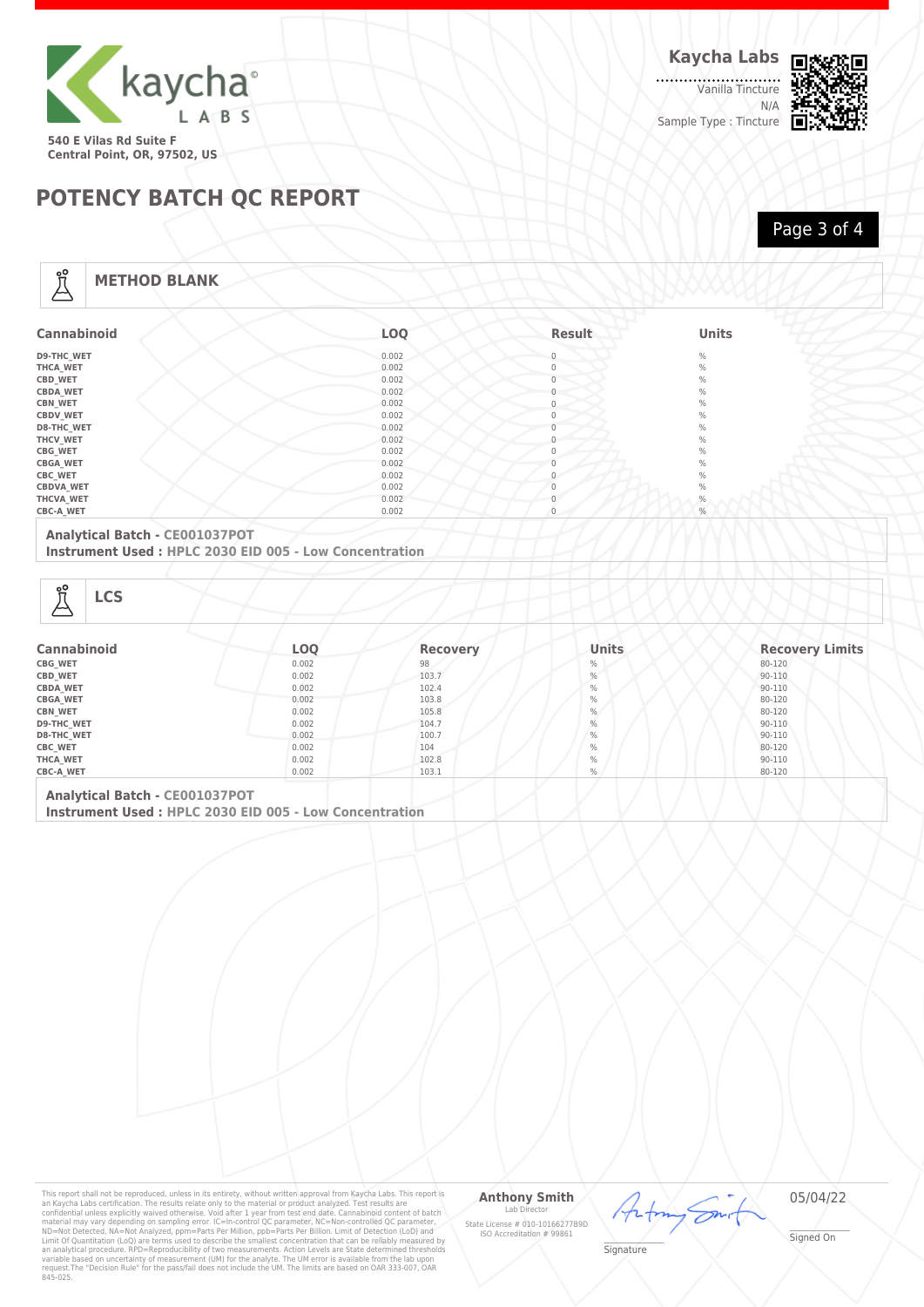

. . . . . . . . . . . . . . . . .<br>Vanilla Tincture N/A Sample Type : Tincture



# **POTENCY BATCH QC REPORT**

Page 3 of 4

## **METHOD BLANK**

| <b>Cannabinoid</b> | LOQ   | <b>Result</b> | <b>Units</b> |
|--------------------|-------|---------------|--------------|
| <b>D9-THC WET</b>  | 0.002 |               | $\%$         |
| <b>THCA WET</b>    | 0.002 | 0             | $\%$         |
| CBD_WET            | 0.002 |               | $\%$         |
| <b>CBDA_WET</b>    | 0.002 |               | $\%$         |
| <b>CBN_WET</b>     | 0.002 |               | $\%$         |
| <b>CBDV WET</b>    | 0.002 |               | $\%$         |
| <b>D8-THC_WET</b>  | 0.002 |               | $\%$         |
| THCV_WET           | 0.002 |               | $\%$         |
| CBG_WET            | 0.002 |               | $\%$         |
| <b>CBGA_WET</b>    | 0.002 |               | $\%$         |
| <b>CBC_WET</b>     | 0.002 |               | $\%$         |
| <b>CBDVA_WET</b>   | 0.002 |               | $\%$         |
| THCVA_WET          | 0.002 |               | $\%$         |
| <b>CBC-A WET</b>   | 0.002 |               | $\%$         |

## **Analytical Batch - CE001037POT**

**Instrument Used : HPLC 2030 EID 005 - Low Concentration**

Å

| <b>Cannabinoid</b> | LOQ   | <b>Recovery</b> | <b>Units</b> | <b>Recovery Limits</b> |
|--------------------|-------|-----------------|--------------|------------------------|
| <b>CBG WET</b>     | 0.002 | 98              | $\%$         | 80-120                 |
| CBD_WET            | 0.002 | 103.7           | $\%$         | 90-110                 |
| <b>CBDA WET</b>    | 0.002 | 102.4           | $\%$         | 90-110                 |
| <b>CBGA WET</b>    | 0.002 | 103.8           | $\%$         | 80-120                 |
| <b>CBN WET</b>     | 0.002 | 105.8           | $\%$         | 80-120                 |
| <b>D9-THC WET</b>  | 0.002 | 104.7           | $\%$         | 90-110                 |
| <b>D8-THC WET</b>  | 0.002 | 100.7           | $\%$         | 90-110                 |
| <b>CBC_WET</b>     | 0.002 | 104             | $\%$         | 80-120                 |
| THCA_WET           | 0.002 | 102.8           | $\%$         | 90-110                 |
| <b>CBC-A WET</b>   | 0.002 | 103.1           | $\%$         | 80-120                 |

**Analytical Batch - CE001037POT Instrument Used : HPLC 2030 EID 005 - Low Concentration**

This report shall not be reproduced, unless in its entirety, without written approval from Kaycha Labs. This report is<br>an Kaycha Labs certification. The results relate only to the material or product analyzed. Test result

### **Anthony Smith** Lab D

State License # 010-10166277B9D ISO Accreditation # 99861

05/04/22

Ön

\_\_\_\_\_\_\_\_\_\_\_\_\_\_\_\_\_\_\_ Signature

<sup>L</sup>

\_\_\_\_\_\_\_\_\_\_\_\_\_\_\_\_\_\_\_ Signed On